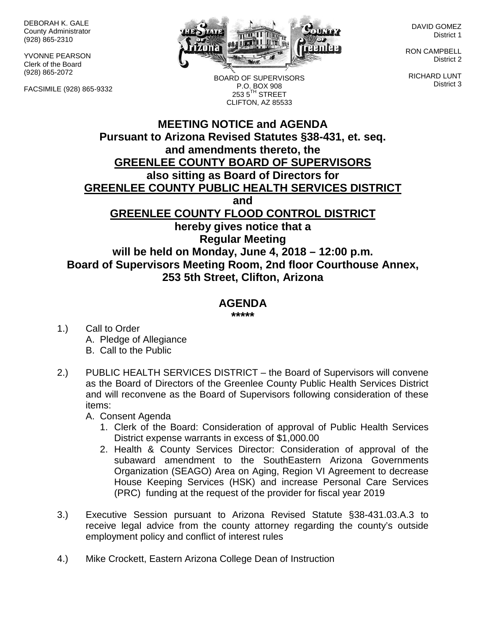DEBORAH K. GALE County Administrator (928) 865-2310

YVONNE PEARSON Clerk of the Board (928) 865-2072

FACSIMILE (928) 865-9332



BOARD OF SUPERVISORS P.O. BOX 908  $2535^{\text{TH}}$  STREET CLIFTON, AZ 85533

DAVID GOMEZ District 1

RON CAMPBELL District 2

RICHARD LUNT District 3

## **MEETING NOTICE and AGENDA Pursuant to Arizona Revised Statutes §38-431, et. seq. and amendments thereto, the GREENLEE COUNTY BOARD OF SUPERVISORS also sitting as Board of Directors for GREENLEE COUNTY PUBLIC HEALTH SERVICES DISTRICT and GREENLEE COUNTY FLOOD CONTROL DISTRICT hereby gives notice that a Regular Meeting will be held on Monday, June 4, 2018 – 12:00 p.m. Board of Supervisors Meeting Room, 2nd floor Courthouse Annex, 253 5th Street, Clifton, Arizona**

## **AGENDA**

**\*\*\*\*\***

- 1.) Call to Order A. Pledge of Allegiance B. Call to the Public
- 2.) PUBLIC HEALTH SERVICES DISTRICT the Board of Supervisors will convene as the Board of Directors of the Greenlee County Public Health Services District and will reconvene as the Board of Supervisors following consideration of these items:

A. Consent Agenda

- 1. Clerk of the Board: Consideration of approval of Public Health Services District expense warrants in excess of \$1,000.00
- 2. Health & County Services Director: Consideration of approval of the subaward amendment to the SouthEastern Arizona Governments Organization (SEAGO) Area on Aging, Region VI Agreement to decrease House Keeping Services (HSK) and increase Personal Care Services (PRC) funding at the request of the provider for fiscal year 2019
- 3.) Executive Session pursuant to Arizona Revised Statute §38-431.03.A.3 to receive legal advice from the county attorney regarding the county's outside employment policy and conflict of interest rules
- 4.) Mike Crockett, Eastern Arizona College Dean of Instruction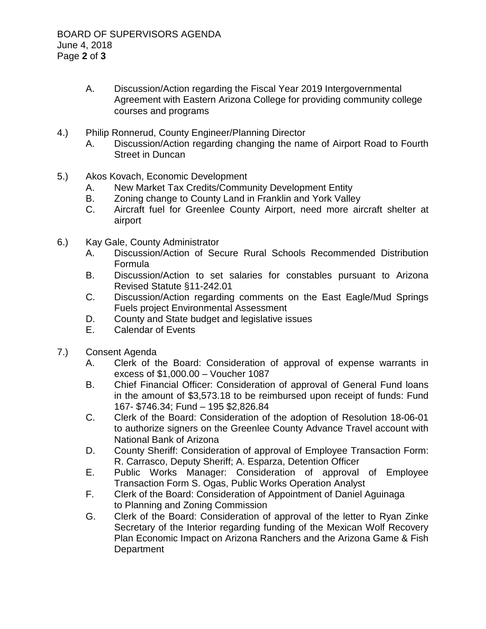- A. Discussion/Action regarding the Fiscal Year 2019 Intergovernmental Agreement with Eastern Arizona College for providing community college courses and programs
- 4.) Philip Ronnerud, County Engineer/Planning Director
	- A. Discussion/Action regarding changing the name of Airport Road to Fourth Street in Duncan
- 5.) Akos Kovach, Economic Development
	- A. New Market Tax Credits/Community Development Entity
	- B. Zoning change to County Land in Franklin and York Valley
	- C. Aircraft fuel for Greenlee County Airport, need more aircraft shelter at airport
- 6.) Kay Gale, County Administrator
	- A. Discussion/Action of Secure Rural Schools Recommended Distribution Formula
	- B. Discussion/Action to set salaries for constables pursuant to Arizona Revised Statute §11-242.01
	- C. Discussion/Action regarding comments on the East Eagle/Mud Springs Fuels project Environmental Assessment
	- D. County and State budget and legislative issues
	- E. Calendar of Events
- 7.) Consent Agenda
	- A. Clerk of the Board: Consideration of approval of expense warrants in excess of \$1,000.00 – Voucher 1087
	- B. Chief Financial Officer: Consideration of approval of General Fund loans in the amount of \$3,573.18 to be reimbursed upon receipt of funds: Fund 167- \$746.34; Fund – 195 \$2,826.84
	- C. Clerk of the Board: Consideration of the adoption of Resolution 18-06-01 to authorize signers on the Greenlee County Advance Travel account with National Bank of Arizona
	- D. County Sheriff: Consideration of approval of Employee Transaction Form: R. Carrasco, Deputy Sheriff; A. Esparza, Detention Officer
	- E. Public Works Manager: Consideration of approval of Employee Transaction Form S. Ogas, Public Works Operation Analyst
	- F. Clerk of the Board: Consideration of Appointment of Daniel Aguinaga to Planning and Zoning Commission
	- G. Clerk of the Board: Consideration of approval of the letter to Ryan Zinke Secretary of the Interior regarding funding of the Mexican Wolf Recovery Plan Economic Impact on Arizona Ranchers and the Arizona Game & Fish **Department**